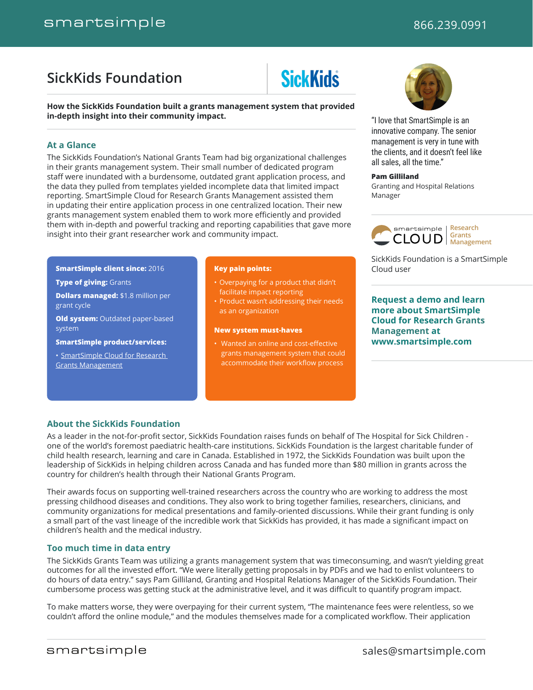# <span id="page-0-0"></span>**[SickKids Foundation](#page-0-0)**

# **SickKids**

**How the SickKids Foundation built a grants management system that provided in-depth insight into their community impact.**

#### **At a Glance**

The SickKids Foundation's National Grants Team had big organizational challenges in their grants management system. Their small number of dedicated program staff were inundated with a burdensome, outdated grant application process, and the data they pulled from templates yielded incomplete data that limited impact reporting. SmartSimple Cloud for Research Grants Management assisted them in updating their entire application process in one centralized location. Their new grants management system enabled them to work more efficiently and provided them with in-depth and powerful tracking and reporting capabilities that gave more insight into their grant researcher work and community impact.

**SmartSimple client since:** 2016

**Type of giving:** Grants

**Dollars managed:** \$1.8 million per grant cycle

**Old system:** Outdated paper-based system

**SmartSimple product/services:**

• [SmartSimple Cloud for Research](https://www.smartsimple.com/smartsimple-cloud-research-grants-management-software)  [Grants Management](https://www.smartsimple.com/smartsimple-cloud-research-grants-management-software)

#### **Key pain points:**

- Overpaying for a product that didn't facilitate impact reporting
- Product wasn't addressing their needs as an organization

#### **New system must-haves**

• Wanted an online and cost-effective grants management system that could accommodate their workflow process

"I love that SmartSimple is an innovative company. The senior management is very in tune with the clients, and it doesn't feel like all sales, all the time."

#### **Pam Gilliland**

Granting and Hospital Relations Manager



SickKids Foundation is a SmartSimple Cloud user

**[Request a demo and learn](https://www.smartsimple.com/)  [more about SmartSimple](https://www.smartsimple.com/)  [Cloud for Research Grants](https://www.smartsimple.com/)  [Management](https://www.smartsimple.com/) at [www.smartsimple.com](https://www.smartsimple.com/)**

### **About the SickKids Foundation**

As a leader in the not-for-profit sector, SickKids Foundation raises funds on behalf of The Hospital for Sick Children one of the world's foremost paediatric health-care institutions. SickKids Foundation is the largest charitable funder of child health research, learning and care in Canada. Established in 1972, the SickKids Foundation was built upon the leadership of SickKids in helping children across Canada and has funded more than \$80 million in grants across the country for children's health through their National Grants Program.

Their awards focus on supporting well-trained researchers across the country who are working to address the most pressing childhood diseases and conditions. They also work to bring together families, researchers, clinicians, and community organizations for medical presentations and family-oriented discussions. While their grant funding is only a small part of the vast lineage of the incredible work that SickKids has provided, it has made a significant impact on children's health and the medical industry.

#### **Too much time in data entry**

The SickKids Grants Team was utilizing a grants management system that was timeconsuming, and wasn't yielding great outcomes for all the invested effort. "We were literally getting proposals in by PDFs and we had to enlist volunteers to do hours of data entry." says Pam Gilliland, Granting and Hospital Relations Manager of the SickKids Foundation. Their cumbersome process was getting stuck at the administrative level, and it was difficult to quantify program impact.

To make matters worse, they were overpaying for their current system, "The maintenance fees were relentless, so we couldn't afford the online module," and the modules themselves made for a complicated workflow. Their application